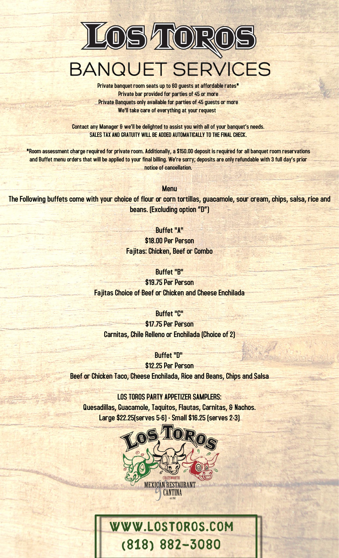

Private banquet room seats up to 60 guests at affordable rates\* Private bar provided for parties of 45 or more Private Banquets only available for parties of 45 guests or more We'll take care of everything at your request

Contact any Manager & we'll be delighted to assist you with all of your banquet's needs. SALES TAX AND GRATUITY WILL BE ADDED AUTOMATICALLY TO THE FINAL CHECK.

\*Room assessment charge required for private room. Additionally, a \$150.00 deposit is required for all banquet room reservations and Buffet menu orders that will be applied to your final billing. We're sorry; deposits are only refundable with 3 full day's prior notice of cancellation.

Menu

The Following buffets come with your choice of flour or corn tortillas, guacamole, sour cream, chips, salsa, rice and beans. (Excluding option "D")

> Buffet "A" \$18.00 Per Person Fajitas: Chicken, Beef or Combo

Buffet "B" \$19.75 Per Person

Fajitas Choice of Beef or Chicken and Cheese Enchilada

Buffet "C" \$17.75 Per Person Carnitas, Chile Relleno or Enchilada (Choice of 2)

Buffet "D"

\$12.25 Per Person Beef or Chicken Taco, Cheese Enchilada, Rice and Beans, Chips and Salsa

LOS TOROS PARTY APPETIZER SAMPLERS: Quesadillas, Guacamole, Taquitos, Flautas, Carnitas, & Nachos. Large \$22.25(serves 5-6) - Small \$16.25 (serves 2-3)



# www.lostoros.com (818) 882-3080